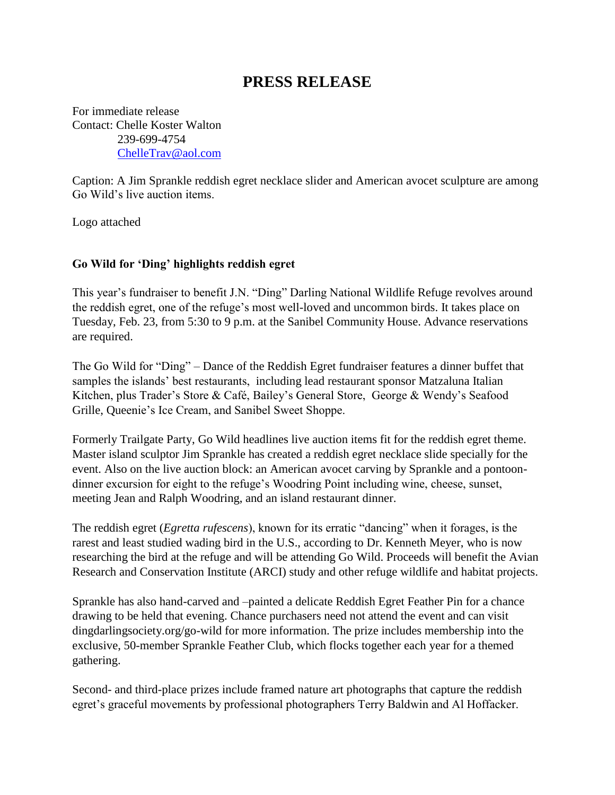## **PRESS RELEASE**

For immediate release Contact: Chelle Koster Walton 239-699-4754 [ChelleTrav@aol.com](mailto:ChelleTrav@aol.com)

Caption: A Jim Sprankle reddish egret necklace slider and American avocet sculpture are among Go Wild's live auction items.

Logo attached

## **Go Wild for 'Ding' highlights reddish egret**

This year's fundraiser to benefit J.N. "Ding" Darling National Wildlife Refuge revolves around the reddish egret, one of the refuge's most well-loved and uncommon birds. It takes place on Tuesday, Feb. 23, from 5:30 to 9 p.m. at the Sanibel Community House. Advance reservations are required.

The Go Wild for "Ding" – Dance of the Reddish Egret fundraiser features a dinner buffet that samples the islands' best restaurants, including lead restaurant sponsor Matzaluna Italian Kitchen, plus Trader's Store & Café, Bailey's General Store, George & Wendy's Seafood Grille, Queenie's Ice Cream, and Sanibel Sweet Shoppe.

Formerly Trailgate Party, Go Wild headlines live auction items fit for the reddish egret theme. Master island sculptor Jim Sprankle has created a reddish egret necklace slide specially for the event. Also on the live auction block: an American avocet carving by Sprankle and a pontoondinner excursion for eight to the refuge's Woodring Point including wine, cheese, sunset, meeting Jean and Ralph Woodring, and an island restaurant dinner.

The reddish egret (*Egretta rufescens*), known for its erratic "dancing" when it forages, is the rarest and least studied wading bird in the U.S., according to Dr. Kenneth Meyer, who is now researching the bird at the refuge and will be attending Go Wild. Proceeds will benefit the Avian Research and Conservation Institute (ARCI) study and other refuge wildlife and habitat projects.

Sprankle has also hand-carved and –painted a delicate Reddish Egret Feather Pin for a chance drawing to be held that evening. Chance purchasers need not attend the event and can visit dingdarlingsociety.org/go-wild for more information. The prize includes membership into the exclusive, 50-member Sprankle Feather Club, which flocks together each year for a themed gathering.

Second- and third-place prizes include framed nature art photographs that capture the reddish egret's graceful movements by professional photographers Terry Baldwin and Al Hoffacker.